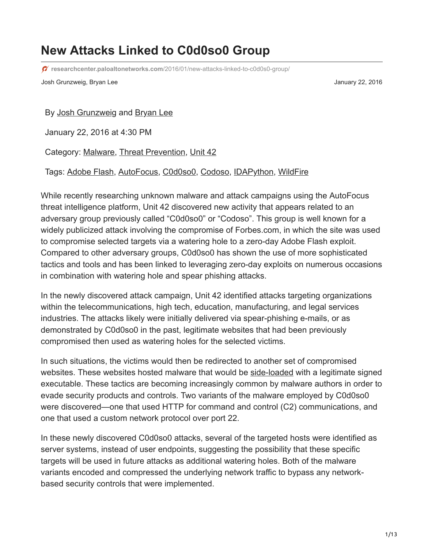# **New Attacks Linked to C0d0so0 Group**

**researchcenter.paloaltonetworks.com**[/2016/01/new-attacks-linked-to-c0d0s0-group/](http://researchcenter.paloaltonetworks.com/2016/01/new-attacks-linked-to-c0d0s0-group/)

Josh Grunzweig, Bryan Lee January 22, 2016

By [Josh Grunzweig](https://unit42.paloaltonetworks.com/author/joshgruznweig/) and [Bryan Lee](https://unit42.paloaltonetworks.com/author/bryanlee/)

January 22, 2016 at 4:30 PM

Category: [Malware,](https://unit42.paloaltonetworks.com/category/malware-2/) [Threat Prevention,](https://unit42.paloaltonetworks.com/category/threat-prevention-2/) [Unit 42](https://unit42.paloaltonetworks.com/category/unit42/)

Tags: [Adobe Flash](https://unit42.paloaltonetworks.com/tag/adobe-flash/), [AutoFocus,](https://unit42.paloaltonetworks.com/tag/autofocus/) [C0d0so0](https://unit42.paloaltonetworks.com/tag/c0d0so0/), [Codoso,](https://unit42.paloaltonetworks.com/tag/codoso/) [IDAPython](https://unit42.paloaltonetworks.com/tag/idapython/), [WildFire](https://unit42.paloaltonetworks.com/tag/wildfire/)

While recently researching unknown malware and attack campaigns using the AutoFocus threat intelligence platform, Unit 42 discovered new activity that appears related to an adversary group previously called "C0d0so0" or "Codoso". This group is well known for a widely publicized attack involving the compromise of Forbes.com, in which the site was used to compromise selected targets via a watering hole to a zero-day Adobe Flash exploit. Compared to other adversary groups, C0d0so0 has shown the use of more sophisticated tactics and tools and has been linked to leveraging zero-day exploits on numerous occasions in combination with watering hole and spear phishing attacks.

In the newly discovered attack campaign, Unit 42 identified attacks targeting organizations within the telecommunications, high tech, education, manufacturing, and legal services industries. The attacks likely were initially delivered via spear-phishing e-mails, or as demonstrated by C0d0so0 in the past, legitimate websites that had been previously compromised then used as watering holes for the selected victims.

In such situations, the victims would then be redirected to another set of compromised websites. These websites hosted malware that would be [side-loaded](https://attack.mitre.org/wiki/DLL_side-loading) with a legitimate signed executable. These tactics are becoming increasingly common by malware authors in order to evade security products and controls. Two variants of the malware employed by C0d0so0 were discovered—one that used HTTP for command and control (C2) communications, and one that used a custom network protocol over port 22.

In these newly discovered C0d0so0 attacks, several of the targeted hosts were identified as server systems, instead of user endpoints, suggesting the possibility that these specific targets will be used in future attacks as additional watering holes. Both of the malware variants encoded and compressed the underlying network traffic to bypass any networkbased security controls that were implemented.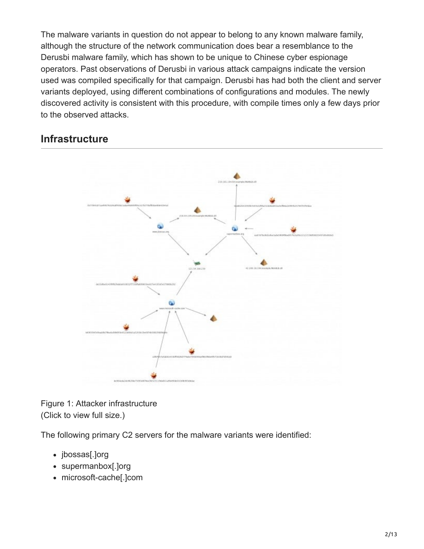The malware variants in question do not appear to belong to any known malware family, although the structure of the network communication does bear a resemblance to the Derusbi malware family, which has shown to be unique to Chinese cyber espionage operators. Past observations of Derusbi in various attack campaigns indicate the version used was compiled specifically for that campaign. Derusbi has had both the client and server variants deployed, using different combinations of configurations and modules. The newly discovered activity is consistent with this procedure, with compile times only a few days prior to the observed attacks.

## **Infrastructure**



Figure 1: Attacker infrastructure (Click to view full size.)

The following primary C2 servers for the malware variants were identified:

- jbossas[.]org
- supermanbox[.]org
- microsoft-cache[.]com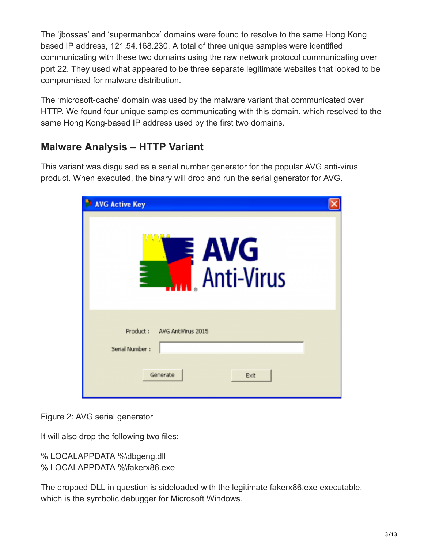The 'jbossas' and 'supermanbox' domains were found to resolve to the same Hong Kong based IP address, 121.54.168.230. A total of three unique samples were identified communicating with these two domains using the raw network protocol communicating over port 22. They used what appeared to be three separate legitimate websites that looked to be compromised for malware distribution.

The 'microsoft-cache' domain was used by the malware variant that communicated over HTTP. We found four unique samples communicating with this domain, which resolved to the same Hong Kong-based IP address used by the first two domains.

## **Malware Analysis – HTTP Variant**

This variant was disguised as a serial number generator for the popular AVG anti-virus product. When executed, the binary will drop and run the serial generator for AVG.

| <b>AVG Active Key</b>                            |  |
|--------------------------------------------------|--|
| <b>AVG</b><br>Anti-Virus<br>E                    |  |
| Product:<br>AVG AntiVirus 2015<br>Serial Number: |  |
| Generate<br>Exit                                 |  |

Figure 2: AVG serial generator

It will also drop the following two files:

- % LOCALAPPDATA %\dbgeng.dll
- % LOCALAPPDATA %\fakerx86.exe

The dropped DLL in question is sideloaded with the legitimate fakerx86.exe executable, which is the symbolic debugger for Microsoft Windows.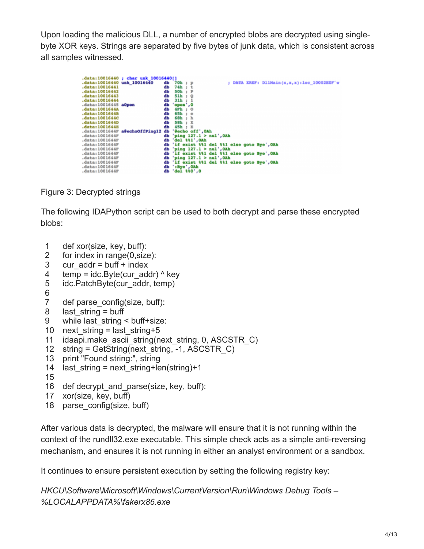Upon loading the malicious DLL, a number of encrypted blobs are decrypted using singlebyte XOR keys. Strings are separated by five bytes of junk data, which is consistent across all samples witnessed.

| .data:10016440; char unk 10016440[] |           |                                                               |
|-------------------------------------|-----------|---------------------------------------------------------------|
| .data:10016440 unk 10016440         | đЬ        | ; DATA XREF: DllMain(x,x,x):loc 10002EOF'w<br>$70h$ $\mu$ $p$ |
| .data:10016441                      | dЬ        | 74h ; t                                                       |
| .data:10016442                      | 50h<br>dЬ | $\mathbf{J}$ $\mathbf{P}$                                     |
| .data:10016443                      | dЬ        | $51h$ ; $Q$                                                   |
| .data:10016444                      | db        | $31h$ ; $1$                                                   |
| .data:10016445 aOpen                | dЬ        | 'open', 0                                                     |
| .data:1001644A                      | db        | $4Fh$ $\rightarrow$ $O$                                       |
| .data: 1001644B                     | dЬ        | $65h$ ; $e$                                                   |
| .data:1001644C                      | db        | 68h ; h                                                       |
| .data:1001644D                      | dЬ        | $58h$ ; X                                                     |
| .data:1001644E                      | db        | $45h$ $\in$ $E$                                               |
| .data:1001644F a@echoOffPing12 db   |           | 'Secho off', OAh                                              |
| .data:1001644F                      |           | db 'ping $127.1$ > nul', OAh                                  |
| .data:1001644F                      |           | db 'del \\l', OAh                                             |
| .data:1001644F                      |           | db 'if exist %%1 del %%1 else goto Bye', OAh                  |
| .data:1001644F                      | dЬ        | 'ping $127.1$ > nul', OAh                                     |
| .data:1001644F                      |           | db 'if exist %%1 del %%1 else goto Bye', OAh                  |
| .data:1001644F                      |           | db 'ping $127.1$ > nul', OAh                                  |
| .data:1001644F                      |           | db 'if exist %%1 del %%1 else goto Bye', OAh                  |
| .data:1001644F                      |           | db ':Bye', OAh                                                |
| .data:1001644F                      |           | db 'del %%0',0                                                |

Figure 3: Decrypted strings

The following IDAPython script can be used to both decrypt and parse these encrypted blobs:

```
1
2
3
4
5
6
7
8
9
10
next_string = last_string+5
11
12
string = GetString(next_string, -1, ASCSTR_C)
13
14
last_string = next_string+len(string)+1
15
16
def decrypt_and_parse(size, key, buff):
17
xor(size, key, buff)
18
parse_config(size, buff)
    def xor(size, key, buff):
    for index in range(0,size):
    curaddr = buff + indextemp = idc.Byte(cur addr) <sup>^</sup> keyidc.PatchByte(cur_addr, temp)
    def parse_config(size, buff):
    last string = buff
    while last string < buff+size:
    idaapi.make_ascii_string(next_string, 0, ASCSTR_C)
    print "Found string:", string
```
After various data is decrypted, the malware will ensure that it is not running within the context of the rundll32.exe executable. This simple check acts as a simple anti-reversing mechanism, and ensures it is not running in either an analyst environment or a sandbox.

It continues to ensure persistent execution by setting the following registry key:

*HKCU\Software\Microsoft\Windows\CurrentVersion\Run\Windows Debug Tools – %LOCALAPPDATA%\fakerx86.exe*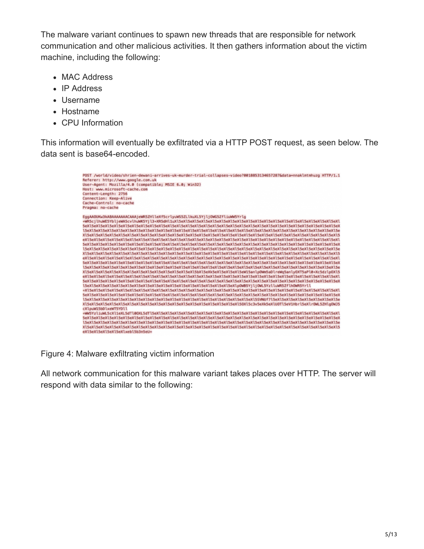The malware variant continues to spawn new threads that are responsible for network communication and other malicious activities. It then gathers information about the victim machine, including the following:

- MAC Address
- IP Address
- Username
- Hostname
- CPU Information

This information will eventually be exfiltrated via a HTTP POST request, as seen below. The data sent is base64-encoded.



Figure 4: Malware exfiltrating victim information

All network communication for this malware variant takes places over HTTP. The server will respond with data similar to the following: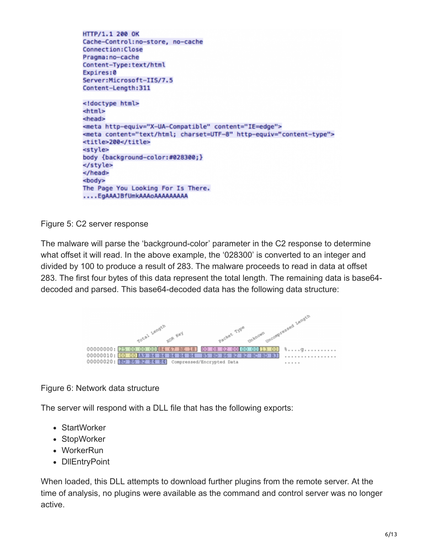```
HTTP/1.1 200 OK
Cache-Control: no-store, no-cache
Connection: Close
Pragma: no-cache
Content-Type:text/html
Expires:0
Server:Microsoft-IIS/7.5
Content-Length: 311
<!doctype html>
<html>
<head>
<meta http-equiv="X-UA-Compatible" content="IE=edge">
<meta content="text/html; charset=UTF-8" http-equiv="content-type">
<title>200</title>
<style>
body {background-color:#028300;}
</style>
</head>
<body>
The Page You Looking For Is There.
....EgAAAJBfUmkAAAoAAAAAAAAA
```
Figure 5: C2 server response

The malware will parse the 'background-color' parameter in the C2 response to determine what offset it will read. In the above example, the '028300' is converted to an integer and divided by 100 to produce a result of 283. The malware proceeds to read in data at offset 283. The first four bytes of this data represent the total length. The remaining data is base64 decoded and parsed. This base64-decoded data has the following data structure:



#### Figure 6: Network data structure

The server will respond with a DLL file that has the following exports:

- StartWorker
- StopWorker
- WorkerRun
- DIIEntryPoint

When loaded, this DLL attempts to download further plugins from the remote server. At the time of analysis, no plugins were available as the command and control server was no longer active.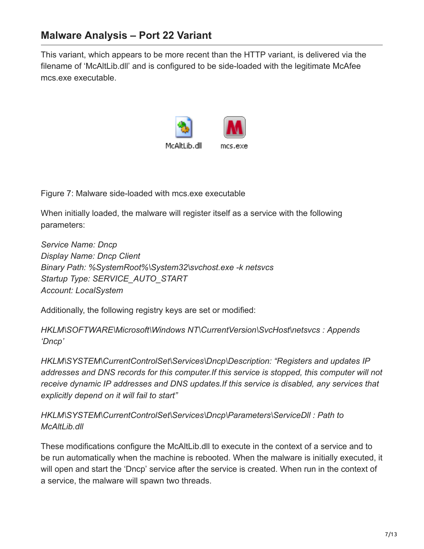## **Malware Analysis – Port 22 Variant**

This variant, which appears to be more recent than the HTTP variant, is delivered via the filename of 'McAltLib.dll' and is configured to be side-loaded with the legitimate McAfee mcs.exe executable.



Figure 7: Malware side-loaded with mcs.exe executable

When initially loaded, the malware will register itself as a service with the following parameters:

*Service Name: Dncp Display Name: Dncp Client Binary Path: %SystemRoot%\System32\svchost.exe -k netsvcs Startup Type: SERVICE\_AUTO\_START Account: LocalSystem*

Additionally, the following registry keys are set or modified:

*HKLM\SOFTWARE\Microsoft\Windows NT\CurrentVersion\SvcHost\netsvcs : Appends 'Dncp'*

*HKLM\SYSTEM\CurrentControlSet\Services\Dncp\Description: "Registers and updates IP addresses and DNS records for this computer.If this service is stopped, this computer will not receive dynamic IP addresses and DNS updates.If this service is disabled, any services that explicitly depend on it will fail to start"*

*HKLM\SYSTEM\CurrentControlSet\Services\Dncp\Parameters\ServiceDll : Path to McAltLib.dll*

These modifications configure the McAltLib.dll to execute in the context of a service and to be run automatically when the machine is rebooted. When the malware is initially executed, it will open and start the 'Dncp' service after the service is created. When run in the context of a service, the malware will spawn two threads.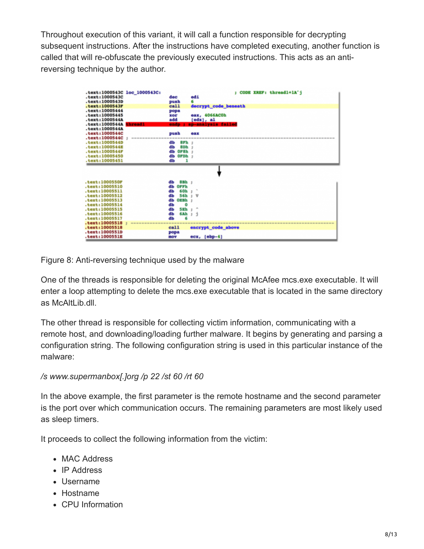Throughout execution of this variant, it will call a function responsible for decrypting subsequent instructions. After the instructions have completed executing, another function is called that will re-obfuscate the previously executed instructions. This acts as an antireversing technique by the author.

| .text:1000543C loc 1000543C:<br>. text: 1000543C |         |                   | ; CODE XREF: thread1+1A'j<br>edi |
|--------------------------------------------------|---------|-------------------|----------------------------------|
|                                                  | dec     |                   |                                  |
| $.$ text: $1000543D$                             |         | push              | 6                                |
| .text:1000543F                                   |         | call              | decrypt_code_beneath             |
| . text: 10005444                                 |         | popa              |                                  |
| .text:10005445                                   | xor     |                   | eax, 4066ACOh                    |
| .text:1000544A                                   | add     |                   | [edx], al                        |
| .text:1000544A                                   | thread1 | endn<br>٠         | sp-analysis failed               |
| .text:1000544A                                   |         |                   |                                  |
| $.$ text:1000544C                                |         | push              | eax                              |
| . text: 1000544C                                 |         |                   |                                  |
| .text:1000544D                                   | db      | 87h               |                                  |
| $.$ text:1000544E                                | dЬ      | 8Dh               |                                  |
| $.$ text:1000544F                                | dh      | <b>OFSh</b>       |                                  |
| .text:10005450                                   | db      | OFDh <sub>1</sub> |                                  |
| .text:10005451                                   | dЬ      | ı                 |                                  |
|                                                  |         |                   |                                  |
|                                                  |         |                   |                                  |
|                                                  |         |                   |                                  |
| $.$ text:1000550F                                | đЬ      | B B h             |                                  |
| . text: 10005510                                 | đЬ      | <b>OFFh</b>       |                                  |
| .text:10005511                                   | dЬ      | $60h$ :           |                                  |
| .text:10005512                                   | đЬ      | 56h               | $: \mathbb{V}$                   |
| . text: 10005513                                 | đЬ      | OEBh <sub>1</sub> |                                  |
| $.$ text:10005514                                | dЬ      | ٥                 |                                  |
| $.$ text:10005515                                | đЬ      | 5Eh               | $\mathbf{r}$                     |
| .text:10005516                                   | đЬ      | 6Ah               | i<br>$\mathbf{1}$                |
| $. \texttt{text110005517}$                       | dЬ      |                   |                                  |
| $.$ text:10005518                                |         |                   |                                  |
| .text:10005518                                   | call    |                   | encrypt code above               |
| .text:1000551D                                   | popa    |                   |                                  |
| .text:1000551E                                   | mov     |                   |                                  |
|                                                  |         |                   | $exc, [ebp-4]$                   |

Figure 8: Anti-reversing technique used by the malware

One of the threads is responsible for deleting the original McAfee mcs.exe executable. It will enter a loop attempting to delete the mcs.exe executable that is located in the same directory as McAltLib.dll.

The other thread is responsible for collecting victim information, communicating with a remote host, and downloading/loading further malware. It begins by generating and parsing a configuration string. The following configuration string is used in this particular instance of the malware:

#### */s www.supermanbox[.]org /p 22 /st 60 /rt 60*

In the above example, the first parameter is the remote hostname and the second parameter is the port over which communication occurs. The remaining parameters are most likely used as sleep timers.

It proceeds to collect the following information from the victim:

- MAC Address
- IP Address
- Username
- Hostname
- CPU Information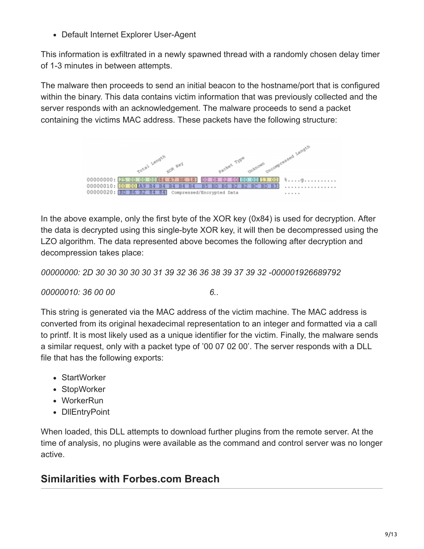Default Internet Explorer User-Agent

This information is exfiltrated in a newly spawned thread with a randomly chosen delay timer of 1-3 minutes in between attempts.

The malware then proceeds to send an initial beacon to the hostname/port that is configured within the binary. This data contains victim information that was previously collected and the server responds with an acknowledgement. The malware proceeds to send a packet containing the victims MAC address. These packets have the following structure:



In the above example, only the first byte of the XOR key (0x84) is used for decryption. After the data is decrypted using this single-byte XOR key, it will then be decompressed using the LZO algorithm. The data represented above becomes the following after decryption and decompression takes place:

*00000000: 2D 30 30 30 30 30 31 39 32 36 36 38 39 37 39 32 -000001926689792*

*00000010: 36 00 00 6..*

This string is generated via the MAC address of the victim machine. The MAC address is converted from its original hexadecimal representation to an integer and formatted via a call to printf. It is most likely used as a unique identifier for the victim. Finally, the malware sends a similar request, only with a packet type of '00 07 02 00'. The server responds with a DLL file that has the following exports:

- StartWorker
- StopWorker
- WorkerRun
- DllEntryPoint

When loaded, this DLL attempts to download further plugins from the remote server. At the time of analysis, no plugins were available as the command and control server was no longer active.

## **Similarities with Forbes.com Breach**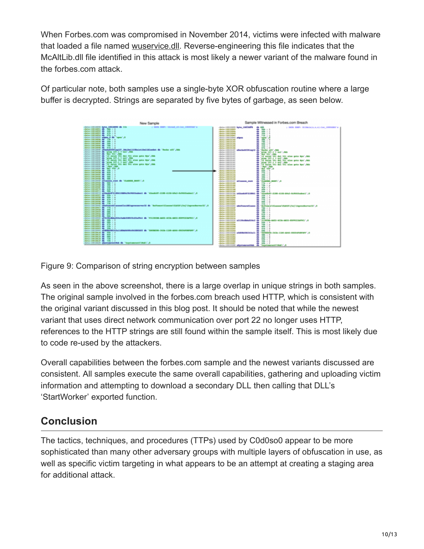When Forbes.com was compromised in November 2014, victims were infected with malware that loaded a file named [wuservice.dll](https://www.virustotal.com/en/file/6f14491b81a7e49b84c625ee212f8f15008a12ab4352dcb1a8afeced149a5e4b/analysis/). Reverse-engineering this file indicates that the McAltLib.dll file identified in this attack is most likely a newer variant of the malware found in the forbes.com attack.

Of particular note, both samples use a single-byte XOR obfuscation routine where a large buffer is decrypted. Strings are separated by five bytes of garbage, as seen below.



Figure 9: Comparison of string encryption between samples

As seen in the above screenshot, there is a large overlap in unique strings in both samples. The original sample involved in the forbes.com breach used HTTP, which is consistent with the original variant discussed in this blog post. It should be noted that while the newest variant that uses direct network communication over port 22 no longer uses HTTP, references to the HTTP strings are still found within the sample itself. This is most likely due to code re-used by the attackers.

Overall capabilities between the forbes.com sample and the newest variants discussed are consistent. All samples execute the same overall capabilities, gathering and uploading victim information and attempting to download a secondary DLL then calling that DLL's 'StartWorker' exported function.

## **Conclusion**

The tactics, techniques, and procedures (TTPs) used by C0d0so0 appear to be more sophisticated than many other adversary groups with multiple layers of obfuscation in use, as well as specific victim targeting in what appears to be an attempt at creating a staging area for additional attack.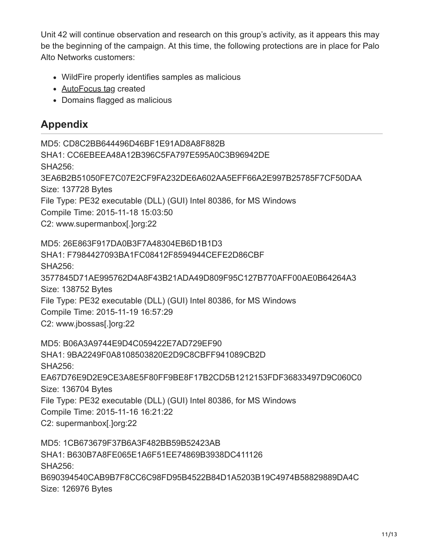Unit 42 will continue observation and research on this group's activity, as it appears this may be the beginning of the campaign. At this time, the following protections are in place for Palo Alto Networks customers:

- WildFire properly identifies samples as malicious
- [AutoFocus tag](https://autofocus.paloaltonetworks.com/#/tag/Unit42.C0d0so0) created
- Domains flagged as malicious

## **Appendix**

MD5: CD8C2BB644496D46BF1E91AD8A8F882B SHA1: CC6EBEEA48A12B396C5FA797E595A0C3B96942DE SHA256: 3EA6B2B51050FE7C07E2CF9FA232DE6A602AA5EFF66A2E997B25785F7CF50DAA Size: 137728 Bytes File Type: PE32 executable (DLL) (GUI) Intel 80386, for MS Windows Compile Time: 2015-11-18 15:03:50 C2: www.supermanbox[.]org:22

MD5: 26E863F917DA0B3F7A48304EB6D1B1D3 SHA1: F7984427093BA1FC08412F8594944CEFE2D86CBF SHA256: 3577845D71AE995762D4A8F43B21ADA49D809F95C127B770AFF00AE0B64264A3 Size: 138752 Bytes File Type: PE32 executable (DLL) (GUI) Intel 80386, for MS Windows Compile Time: 2015-11-19 16:57:29 C2: www.jbossas[.]org:22

MD5: B06A3A9744E9D4C059422E7AD729EF90 SHA1: 9BA2249F0A8108503820E2D9C8CBFF941089CB2D SHA256: EA67D76E9D2E9CE3A8E5F80FF9BE8F17B2CD5B1212153FDF36833497D9C060C0 Size: 136704 Bytes File Type: PE32 executable (DLL) (GUI) Intel 80386, for MS Windows Compile Time: 2015-11-16 16:21:22 C2: supermanbox[.]org:22

MD5: 1CB673679F37B6A3F482BB59B52423AB SHA1: B630B7A8FE065E1A6F51EE74869B3938DC411126 SHA256: B690394540CAB9B7F8CC6C98FD95B4522B84D1A5203B19C4974B58829889DA4C Size: 126976 Bytes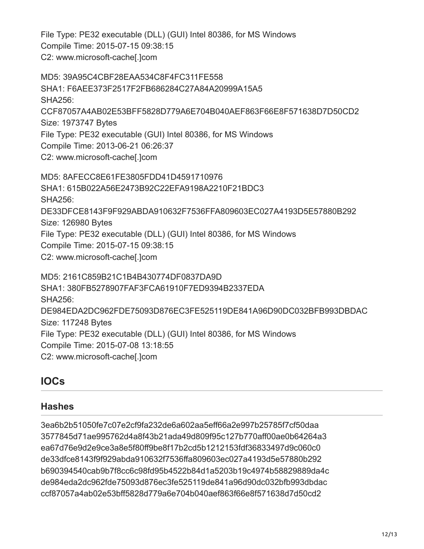File Type: PE32 executable (DLL) (GUI) Intel 80386, for MS Windows Compile Time: 2015-07-15 09:38:15 C2: www.microsoft-cache[.]com

MD5: 39A95C4CBF28EAA534C8F4FC311FE558 SHA1: F6AEE373F2517F2FB686284C27A84A20999A15A5 SHA256: CCF87057A4AB02E53BFF5828D779A6E704B040AEF863F66E8F571638D7D50CD2 Size: 1973747 Bytes File Type: PE32 executable (GUI) Intel 80386, for MS Windows Compile Time: 2013-06-21 06:26:37 C2: www.microsoft-cache[.]com

MD5: 8AFECC8E61FE3805FDD41D4591710976 SHA1: 615B022A56E2473B92C22EFA9198A2210F21BDC3 SHA256: DE33DFCE8143F9F929ABDA910632F7536FFA809603EC027A4193D5E57880B292 Size: 126980 Bytes File Type: PE32 executable (DLL) (GUI) Intel 80386, for MS Windows Compile Time: 2015-07-15 09:38:15 C2: www.microsoft-cache[.]com

MD5: 2161C859B21C1B4B430774DF0837DA9D SHA1: 380FB5278907FAF3FCA61910F7ED9394B2337EDA SHA256: DE984EDA2DC962FDE75093D876EC3FE525119DE841A96D90DC032BFB993DBDAC Size: 117248 Bytes File Type: PE32 executable (DLL) (GUI) Intel 80386, for MS Windows Compile Time: 2015-07-08 13:18:55 C2: www.microsoft-cache[.]com

# **IOCs**

## **Hashes**

3ea6b2b51050fe7c07e2cf9fa232de6a602aa5eff66a2e997b25785f7cf50daa 3577845d71ae995762d4a8f43b21ada49d809f95c127b770aff00ae0b64264a3 ea67d76e9d2e9ce3a8e5f80ff9be8f17b2cd5b1212153fdf36833497d9c060c0 de33dfce8143f9f929abda910632f7536ffa809603ec027a4193d5e57880b292 b690394540cab9b7f8cc6c98fd95b4522b84d1a5203b19c4974b58829889da4c de984eda2dc962fde75093d876ec3fe525119de841a96d90dc032bfb993dbdac ccf87057a4ab02e53bff5828d779a6e704b040aef863f66e8f571638d7d50cd2